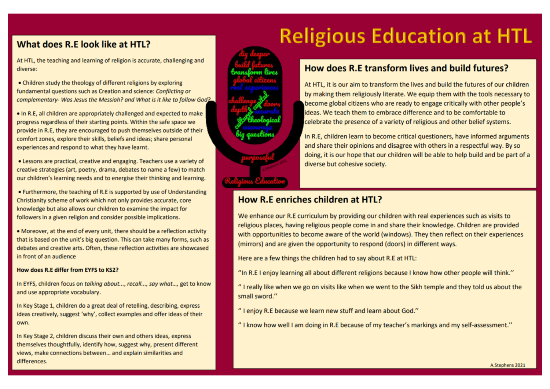#### What does R.E look like at HTL?

At HTL, the teaching and learning of religion is accurate, challenging and diverse:

• Children study the theology of different religions by exploring fundamental questions such as Creation and science: Conflicting or complementary- Was Jesus the Messiah? and What is it like to follow God?

. In R.E. all children are appropriately challenged and expected to make progress regardless of their starting points. Within the safe space we provide in R.E. they are encouraged to push themselves outside of their comfort zones, explore their skills, beliefs and ideas; share personal experiences and respond to what they have learnt.

• Lessons are practical, creative and engaging. Teachers use a variety of creative strategies (art, poetry, drama, debates to name a few) to match our children's learning needs and to energise their thinking and learning.

• Furthermore, the teaching of R.E is supported by use of Understanding Christianity scheme of work which not only provides accurate, core knowledge but also allows our children to examine the impact for followers in a given religion and consider possible implications.

• Moreover, at the end of every unit, there should be a reflection activity that is based on the unit's big question. This can take many forms, such as debates and creative arts. Often, these reflection activities are showcased in front of an audience

#### How does R.E differ from EYFS to KS2?

In EYFS, children focus on talking about..., recall..., say what..., get to know and use appropriate vocabulary.

In Key Stage 1, children do a great deal of retelling, describing, express ideas creatively, suggest 'why', collect examples and offer ideas of their own.

In Key Stage 2, children discuss their own and others ideas, express themselves thoughtfully, identify how, suggest why, present different views, make connections between... and explain similarities and differences.



# **Religious Education at HTL**

#### How does R.E transform lives and build futures?

At HTL, it is our aim to transform the lives and build the futures of our children by making them religiously literate. We equip them with the tools necessary to become global citizens who are ready to engage critically with other people's ideas. We teach them to embrace difference and to be comfortable to celebrate the presence of a variety of religious and other belief systems.

In R.E, children learn to become critical questioners, have informed arguments and share their opinions and disagree with others in a respectful way. By so doing, it is our hope that our children will be able to help build and be part of a diverse but cohesive society.

#### How R.E enriches children at HTL?

We enhance our R.E curriculum by providing our children with real experiences such as visits to religious places, having religious people come in and share their knowledge. Children are provided with opportunities to become aware of the world (windows). They then reflect on their experiences (mirrors) and are given the opportunity to respond (doors) in different ways.

Here are a few things the children had to say about R.E at HTL:

"In R.E I enjoy learning all about different religions because I know how other people will think."

" I really like when we go on visits like when we went to the Sikh temple and they told us about the small sword."

"I enjoy R.E because we learn new stuff and learn about God."

"I know how well I am doing in R.E because of my teacher's markings and my self-assessment."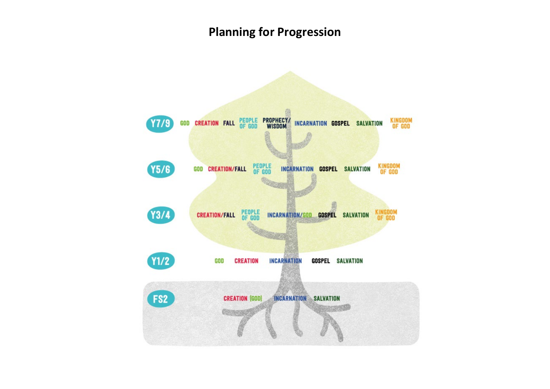## **Planning for Progression**